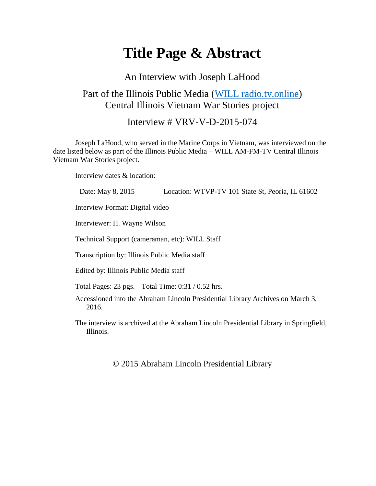# **Title Page & Abstract**

#### An Interview with Joseph LaHood

### Part of the Illinois Public Media [\(WILL radio.tv.online\)](https://will.illinois.edu/vietnam) Central Illinois Vietnam War Stories project

Interview # VRV-V-D-2015-074

Joseph LaHood, who served in the Marine Corps in Vietnam, was interviewed on the date listed below as part of the Illinois Public Media – WILL AM-FM-TV Central Illinois Vietnam War Stories project.

Interview dates & location:

| Date: May 8, 2015                                   | Location: WTVP-TV 101 State St, Peoria, IL 61602                                      |
|-----------------------------------------------------|---------------------------------------------------------------------------------------|
| Interview Format: Digital video                     |                                                                                       |
| Interviewer: H. Wayne Wilson                        |                                                                                       |
| Technical Support (cameraman, etc): WILL Staff      |                                                                                       |
| Transcription by: Illinois Public Media staff       |                                                                                       |
| Edited by: Illinois Public Media staff              |                                                                                       |
| Total Pages: 23 pgs. Total Time: $0.31 / 0.52$ hrs. |                                                                                       |
| 2016.                                               | Accessioned into the Abraham Lincoln Presidential Library Archives on March 3,        |
| Illinois.                                           | The interview is archived at the Abraham Lincoln Presidential Library in Springfield, |

© 2015 Abraham Lincoln Presidential Library